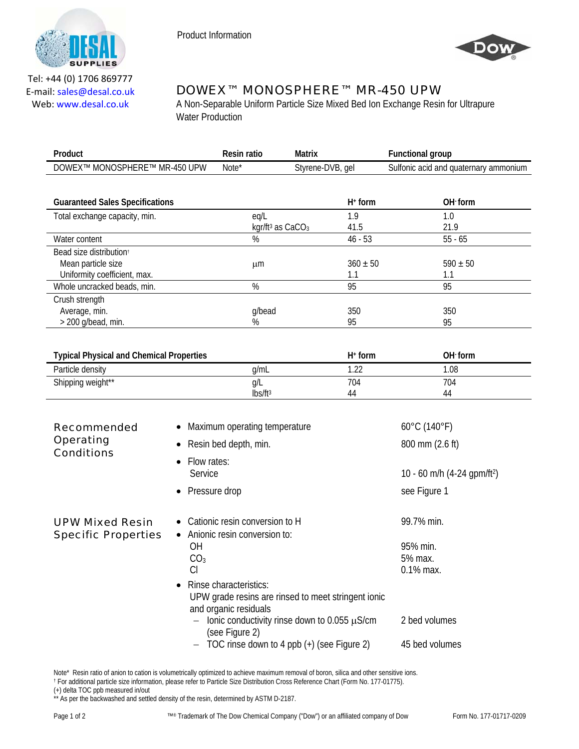



Tel: +44 (0) 1706 869777 E‐mail: sales@desal.co.uk Web: www.desal.co.uk

# DOWEX™ MONOSPHERE™ MR-450 UPW

A Non-Separable Uniform Particle Size Mixed Bed Ion Exchange Resin for Ultrapure Water Production

| Product                                    | Resin ratio | Matrix           | unctional group -                     |
|--------------------------------------------|-------------|------------------|---------------------------------------|
| <b>MR-450 UPW</b><br>MONOSPHERE™<br>DOWEX™ | Note*       | Styrene-DVB, gel | Sulfonic acid and quaternary ammonium |

| <b>Guaranteed Sales Specifications</b> |                                | $H^+$ form   | OH form      |  |
|----------------------------------------|--------------------------------|--------------|--------------|--|
| Total exchange capacity, min.          | eq/L                           | 1.9          | 1.0          |  |
|                                        | kgr/ft <sup>3</sup> as $CaCO3$ | 41.5         | 21.9         |  |
| Water content                          | %                              | $46 - 53$    | $55 - 65$    |  |
| Bead size distribution <sup>+</sup>    |                                |              |              |  |
| Mean particle size                     | μm                             | $360 \pm 50$ | $590 \pm 50$ |  |
| Uniformity coefficient, max.           |                                | 1.1          | 1.1          |  |
| Whole uncracked beads, min.            | %                              | 95           | 95           |  |
| Crush strength                         |                                |              |              |  |
| Average, min.                          | g/bead                         | 350          | 350          |  |
| $>$ 200 g/bead, min.                   | %                              | 95           | 95           |  |

| <b>Typical Physical and Chemical Properties</b> |                     | $H^+$ form        | OH form |
|-------------------------------------------------|---------------------|-------------------|---------|
| Particle density                                | a/mL                | ി<br>. <u>. .</u> | .08     |
| Shipping weight**                               | Q/L                 | 704               | 704     |
|                                                 | lbs/ft <sup>3</sup> | 44                | 44      |

| Recommended<br><b>Operating</b><br><b>Conditions</b> | • Maximum operating temperature<br>• Resin bed depth, min.                                                          | $60^{\circ}$ C (140 $^{\circ}$ F)<br>800 mm (2.6 ft) |
|------------------------------------------------------|---------------------------------------------------------------------------------------------------------------------|------------------------------------------------------|
|                                                      | Flow rates:<br>$\bullet$<br>Service                                                                                 | 10 - 60 m/h (4-24 gpm/ft <sup>2</sup> )              |
|                                                      | • Pressure drop                                                                                                     | see Figure 1                                         |
| <b>UPW Mixed Resin</b><br><b>Specific Properties</b> | • Cationic resin conversion to H<br>Anionic resin conversion to:<br>$\bullet$                                       | 99.7% min.                                           |
|                                                      | ΟH<br>CO <sub>3</sub>                                                                                               | 95% min.<br>5% max.                                  |
|                                                      | CI                                                                                                                  | $0.1\%$ max.                                         |
|                                                      | Rinse characteristics:<br>$\bullet$<br>UPW grade resins are rinsed to meet stringent ionic<br>and organic residuals |                                                      |
|                                                      | - Ionic conductivity rinse down to 0.055 $\mu$ S/cm<br>(see Figure 2)                                               | 2 bed volumes                                        |
|                                                      | TOC rinse down to 4 ppb (+) (see Figure 2)<br>$\overline{\phantom{m}}$                                              | 45 bed volumes                                       |

Note\* Resin ratio of anion to cation is volumetrically optimized to achieve maximum removal of boron, silica and other sensitive ions.<br>† For additional particle size information, please refer to Particle Size Distribution

(+) delta TOC ppb measured in/out \*\* As per the backwashed and settled density of the resin, determined by ASTM D-2187.